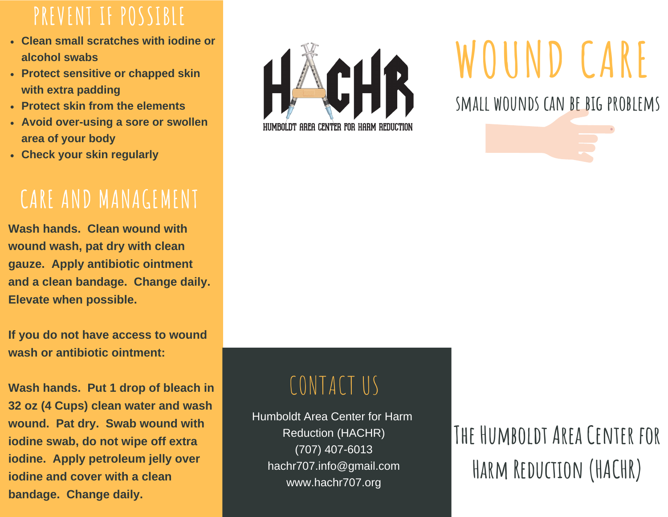#### **PREVENT IF POSSIBLE**

- **Clean small scratches with iodine or alcohol swabs**
- **Protect sensitive or chapped skin with extra padding**
- **Protect skin from the elements**
- **Avoid over-using a sore or swollen area of your body**
- **Check your skin regularly**

### **CARE AND MANAGEMENT**

**Wash hands. Clean wound with wound wash, pat dry with clean gauze. Apply antibiotic ointment and a clean bandage. Change daily. Elevate when possible.**

**If you do not have access to wound wash or antibiotic ointment:**

**Wash hands. Put 1 drop of bleach in 32 oz (4 Cups) clean water and wash wound. Pat dry. Swab wound with iodine swab, do not wipe off extra iodine. Apply petroleum jelly over iodine and cover with a clean bandage. Change daily.**



## **WOUND CARE**

**small wounds can be big problems**

## CONTACT US

Humboldt Area Center for Harm Reduction (HACHR) (707) 407-6013 hachr707.info@gmail.com www.hachr707.org

## **The Humboldt Area Center for Harm Reduction (HACHR)**